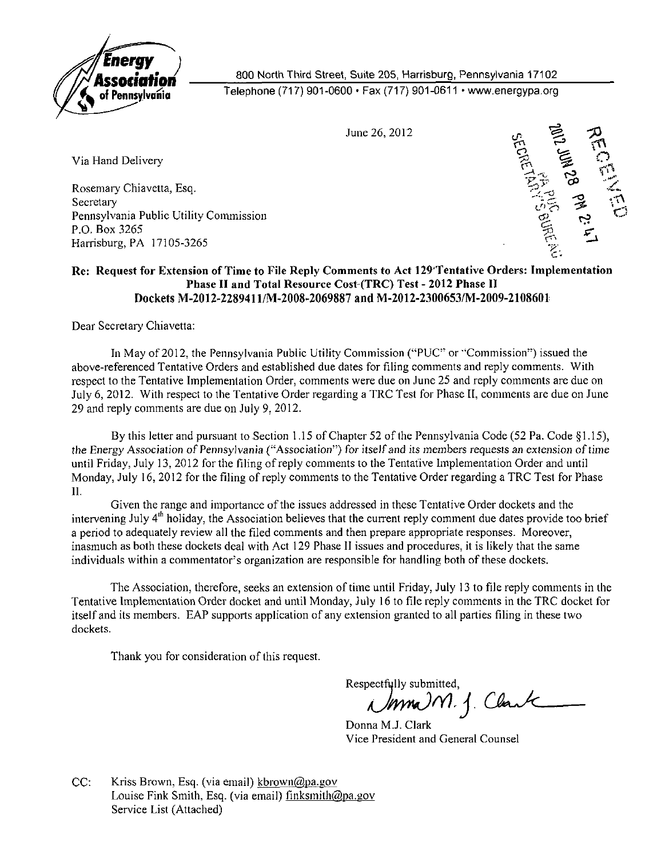

**Association** 800 North Third Street, Suite 205, Harrisburg, Pennsylvania 17102<br>A of Pennsylvania Telephone (717) 901-0600 • Fax (717) 901-0611 • www.energypa.org

Rosemary Chiavetta, Esq. Secretary  $\tilde{U}$  is the state of  $\tilde{U}$  in the state of  $\tilde{U}$  is the state of  $\tilde{U}$ Pennsylvania Public Utility Commission tfj\* ^ P.O. Box 3265  $\frac{1}{21}$ Harrisburg, PA 17105-3265 ^ . -



## **Re: Request for Extension of Time to File Reply Comments to Act 129'Tentative Orders: Implementation Phase 11 and Total Resource Cost (TRC) Test - 2012 Phase 11 Dockets M-2012-22894n/M-2008-2069887 and M-2012-2300653/M-2009-2108601**

Dear Secretary Chiavetta:

In May of 2012, the Pennsylvania Public Utility Commission ("PUC" or "Commission") issued the above-referenced Tentative Orders and established due dates for filing comments and reply comments. With respect to the Tentative Implementation Order, comments were due on June 25 and reply comments are due on July 6, 2012. With respect to the Tentative Order regarding a TRC Test for Phase II, comments are due on June 29 and reply comments are due on July 9, 2012.

By this letter and pursuant to Section 1.15 of Chapter 52 of the Pennsylvania Code (52 Pa. Code §1.15), the Energy Association of Pennsylvania ("Association") for itself and its members requests an extension of time until Friday, July 13, 2012 for the filing of reply comments to the Tentative Implementation Order and until Monday, July 16, 2012 for the filing of reply comments to the Tentative Order regarding a TRC Test for Phase II.

Given the range and importance of the issues addressed in these Tentative Order dockets and the intervening July 4"' holiday, the Association believes that the current reply comment due dates provide too brief a period to adequately review all the filed comments and then prepare appropriate responses. Moreover, inasmuch as both these dockets deal with Act 129 Phase II issues and procedures, it is likely that the same individuals within a commentator's organization are responsible for handling both of these dockets.

The Association, therefore, seeks an extension of time until Friday, July 13 to file reply comments in the Tentative Implementation Order docket and until Monday, July 16 to file reply comments in the TRC docket for itself and its members. EAP supports application of any extension granted to all parties filing in these two dockets.

Thank you for consideration of this request.

Respectfully submitted,<br>Umma M. J. Claute

Donna M.J. Clark Vice President and General Counsel

CC: Kriss Brown, Esq. (via email) kbrown@pa.gov Louise Fink Smith, Esq. (via email) finksmith@pa.gov Service List (Attached)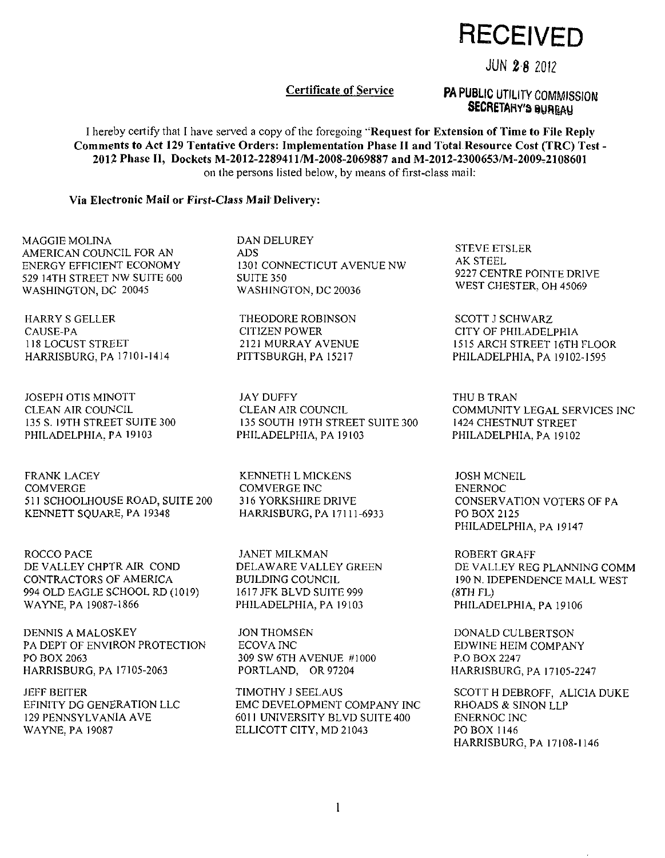RECEIVED

## JUN 2 8 2012

### **Certificate of Service**

# **PA PUBLIC UTILITY COMMISSION**<br>**SECRETARY'S BUREAU**

*SECRETARY'S mnm*  **I hereby certify that I have served a copy of the foregoing "Request for Extension of Time to File Reply Comments to Act 129 Tentative Orders: Implementation Phase II and Total Resource Cost (TRC) Test**  2012 Phase II, Dockets M-2012-2289411/M-2008-2069887 and M-2012-2300653/M-2009-2108601 on the persons listed below, by means of first-class mail:

#### **Via Electronic Mail or First-Class Mail Delivery:**

MAGGIE MOLINA AMERICAN COUNCIL FOR AN ENERGY EFFICIENT ECONOMY 529 14TH STREET NW SUITE 600 WASHINGTON, DC 20045

HARRY S GELLER CAUSE-PA 118 LOCUST STREET HARRISBURG. PA 17101-1414

JOSEPH OTIS MINOTT CLEAN AIR COUNCIL 135 S. I9TH STREET SUITE 300 PHILADELPHIA. PA 19103

FRANK LACEY COMVERGE 511 SCHOOLHOUSE ROAD, SUITE 200 KENNETT SQUARE, PA 19348

ROCCO PACE DE VALLEY CHPTR AIR COND CONTRACTORS OF AMERICA 994 OLD EAGLE SCHOOL RD (1019) WAYNE. PA 19087-1866

DENNIS A MALOSKEY PA DEPT OF ENVIRON PROTECTION PO BOX 2063 HARRISBURG, PA 17105-2063

JEFF BEITER<br>EFINITY DG GENERATION LLC 129 PENNSYLVANIA AVE  $WAYNE$ . PA 19087 Wayne. Pa 1908

DAN DELUREY ADS 1301 CONNECTICUT AVENUE NW SUITE 350 WASHINGTON, DC 20036

THEODORE ROBINSON CITIZEN POWER 2121 MURRAY AVENUE PITTSBURGH, PA 15217

JAY DUFFY CLEAN AIR COUNCIL 135 SOUTH I9TH STREET SUITE 300 PHILADELPHIA, PA 19103

KENNETH L M1CKENS COMVERGE INC 316 YORKSHIRE DRIVE HARRISBURG, PA 171 11 -6933

JANET MILKMAN DELAWARE VALLEY GREEN BUILDING COUNCIL 1617 JFK BLVD SUITE 999 PHILADELPHIA, PA 19103

JON THOMSEN ECOVA INC 309 SW 6TH AVENUE #1000 PORTLAND, OR 97204

TIMOTHY J SEELAUS EMC DEVELOPMENT COMPANY INC 6011 UNIVERSITY BLVD SUITE 400 ELLICOTT CITY. MD 21043

STEVE ETSLER AK STEEL 9227 CENTRE POINTE DRIVE WEST CHESTER. OH 45069

SCOTT J SCHWARZ CITY OF PHILADELPHIA 1515 ARCH STREET I6TH FLOOR PHILADELPHIA, PA 19102-1595

THU B TRAN COMMUNITY LEGAL SERVICES INC 1424 CHESTNUT STREET PHILADELPHIA, PA 19102

JOSH MCNEIL ENERNOC CONSERVATION VOTERS OF PA PO BOX 2125 PHILADELPHIA, PA 19147

ROBERT GRAFF DE VALLEY REG PLANNING COMM 190 N. IDEPENDENCE MALL WEST (8TH FL) PHILADELPHIA. PA 19106

DONALD CULBERTSON EDWINE HEIM COMPANY P.O BOX 2247 HARRISBURG, PA 17105-2247

SCOTT H DEBROFF, ALICIA DUKE RHOADS & SINON LLP ENERNOC INC PO BOX 1146 HARRISBURG. PA 17108-1146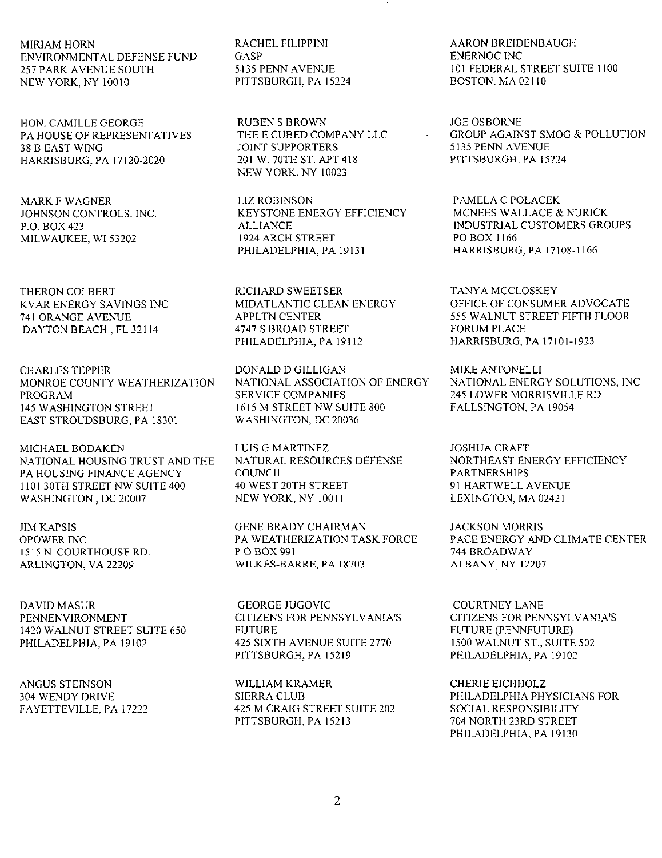MIRIAM HORN ENVIRONMENTAL DEFENSE FUND 257 PARK AVENUE SOUTH NEW YORK. NY 10010

HON. CAMILLE GEORGE PA HOUSE OF REPRESENTATIVES 38 B EAST WING HARRISBURG. PA 17120-2020

MARK F WAGNER JOHNSON CONTROLS, INC. P.O. BOX 423 MILWAUKEE. WI 53202

THERON COLBERT KVAR ENERGY SAVINGS INC 741 ORANGE AVENUE DAYTON BEACH , FL 32114

CHARLES TEPPER MONROE COUNTY WEATHERIZATION PROGRAM 145 WASHINGTON STREET EAST STROUDSBURG. PA 18301

MICHAEL BODAKEN NATIONAL HOUSING TRUST AND THE PA HOUSING FINANCE AGENCY 1101 30TH STREET NW SUITE 400 WASHINGTON, DC 20007

JIM KAPSIS OPOWER INC 1515 N. COURTHOUSE RD. ARLINGTON. VA 22209

DAVID MASUR PENNENVIRONMENT 1420 WALNUT STREET SUITE 650 PHILADELPHIA. PA 19102

ANGUS STEINSON 304 WENDY DRIVE FAYETTEVILLE. PA 17222 RACHEL FILIPPINI GASP 5135 PENN AVENUE PITTSBURGH. PA 15224

RUBEN S BROWN THE E CUBED COMPANY LLC JOINT SUPPORTERS 201 W. 70TH ST. APT 418 NEW YORK, NY 10023

LIZ ROBINSON KEYSTONE ENERGY EFFICIENCY ALLIANCE 1924 ARCH STREET PHILADELPHIA. PA 19131

RICHARD SWEETSER MIDATLANTIC CLEAN ENERGY APPLTN CENTER 4747 S BROAD STREET PHILADELPHIA, PA 19112

DONALD D GILLIGAN NATIONAL ASSOCIATION OF ENERGY SERVICE COMPANIES 1615 M STREET NW SUITE 800 WASHINGTON, DC 20036

LUIS G MARTINEZ NATURAL RESOURCES DEFENSE **COUNCIL** 40 WEST 20TH STREET NEW YORK, NY 10011

GENE BRADY CHAIRMAN PA WEATHERIZATION TASK FORCE P OBOX 991 WILKES-BARRE. PA 18703

GEORGE JUGOVIC CITIZENS FOR PENNSYLVANIA'S FUTURE 425 SIXTH AVENUE SUITE 2770 PITTSBURGH. PA 15219

WILLIAM KRAMER SIERRA CLUB 425 M CRAIG STREET SUITE 202 PITTSBURGH. PA 15213

AARON BREIDENBAUGH ENERNOC INC 101 FEDERAL STREET SUITE 1100 BOSTON. MA 02110

JOE OSBORNE GROUP AGAINST SMOG & POLLUTION 5135 PENN AVENUE PITTSBURGH. PA 15224

PAMELA C POLACEK MCNEES WALLACE & NURICK INDUSTRIAL CUSTOMERS GROUPS PO BOX 1166 HARRISBURG. PA 17108-1166

TANYA MCCLOSKEY OFFICE OF CONSUMER ADVOCATE 555 WALNUT STREET FIFTH FLOOR FORUM PLACE HARRISBURG, PA 17101-1923

MIKE ANTONELLI NATIONAL ENERGY SOLUTIONS, INC 245 LOWER MORRISVILLE RD FALLSINGTON, PA 19054

JOSHUA CRAFT NORTHEAST ENERGY EFFICIENCY PARTNERSHIPS 91 HARTWELL AVENUE LEXINGTON, MA 02421

JACKSON MORRIS PACE ENERGY AND CLIMATE CENTER 744 BROADWAY ALBANY. NY 12207

COURTNEY LANE CITIZENS FOR PENNSYLVANIA'S FUTURE (PENNFUTURE) 1500 WALNUT ST., SUITE 502 PHILADELPHIA. PA 19102

CHERIE EICHHOLZ PHILADELPHIA PHYSICIANS FOR SOCIAL RESPONSIBILITY 704 NORTH 23RD STREET PHILADELPHIA. PA 19130